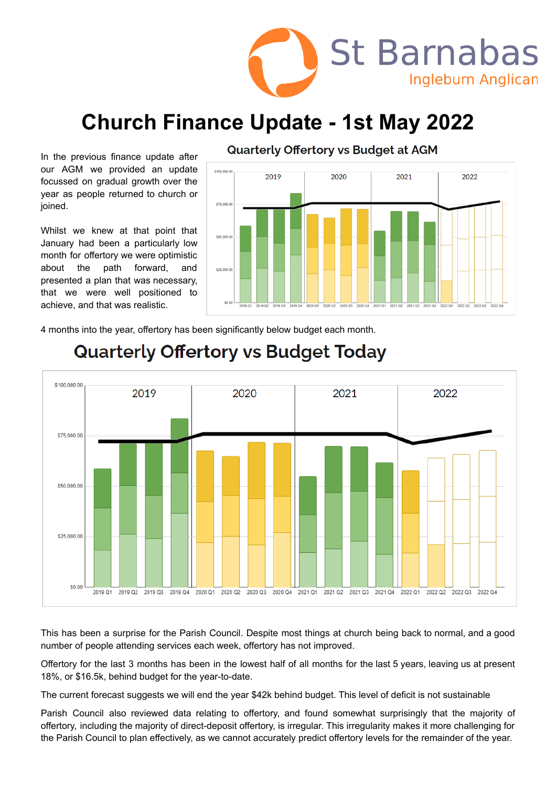

# **Church Finance Update - 1st May 2022**

In the previous finance update after our AGM we provided an update focussed on gradual growth over the year as people returned to church or joined.

Whilst we knew at that point that January had been a particularly low month for offertory we were optimistic about the path forward, and presented a plan that was necessary, that we were well positioned to achieve, and that was realistic.



Quarterly Offertory vs Budget at AGM

4 months into the year, offertory has been significantly below budget each month.



## **Quarterly Offertory vs Budget Today**

This has been a surprise for the Parish Council. Despite most things at church being back to normal, and a good number of people attending services each week, offertory has not improved.

Offertory for the last 3 months has been in the lowest half of all months for the last 5 years, leaving us at present 18%, or \$16.5k, behind budget for the year-to-date.

The current forecast suggests we will end the year \$42k behind budget. This level of deficit is not sustainable

Parish Council also reviewed data relating to offertory, and found somewhat surprisingly that the majority of offertory, including the majority of direct-deposit offertory, is irregular. This irregularity makes it more challenging for the Parish Council to plan effectively, as we cannot accurately predict offertory levels for the remainder of the year.